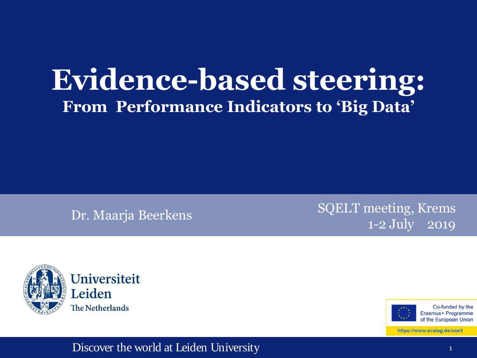## **Evidence-based steering: From Performance Indicators to 'Big Data'**

Dr. Maarja Beerkens SQELT meeting, Krems 1-2 July 2019





Co-funded by the Erasmus+ Programme of the European Union

https://www.evalag.de/sqelt

#### Discover the world at Leiden University 1 and 1 and 1 and 1 and 1 and 1 and 1 and 1 and 1 and 1 and 1 and 1 and 1 and 1 and 1 and 1 and 1 and 1 and 1 and 1 and 1 and 1 and 1 and 1 and 1 and 1 and 1 and 1 and 1 and 1 and 1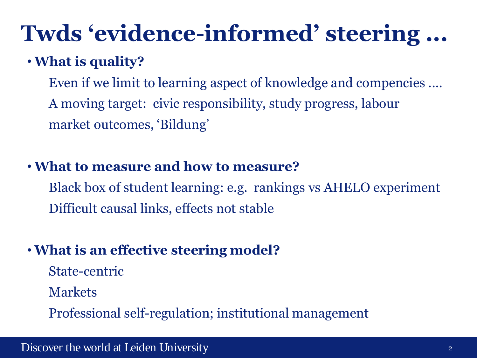# **Twds 'evidence-informed' steering ...**

### •**What is quality?**

Even if we limit to learning aspect of knowledge and compencies .... A moving target: civic responsibility, study progress, labour market outcomes, 'Bildung'

#### •**What to measure and how to measure?**

Black box of student learning: e.g. rankings vs AHELO experiment Difficult causal links, effects not stable

### •**What is an effective steering model?**

- State-centric
- Markets

Professional self-regulation; institutional management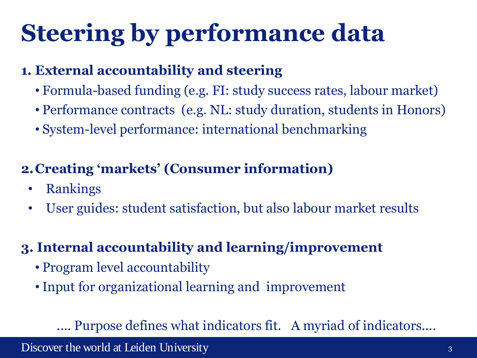# **Steering by performance data**

#### **1. External accountability and steering**

- Formula-based funding (e.g. FI: study success rates, labour market)
- Performance contracts (e.g. NL: study duration, students in Honors)
- System-level performance: international benchmarking

### **2.Creating 'markets' (Consumer information)**

- Rankings
- User guides: student satisfaction, but also labour market results

### **3. Internal accountability and learning/improvement**

- Program level accountability
- •Input for organizational learning and improvement

#### .... Purpose defines what indicators fit. A myriad of indicators....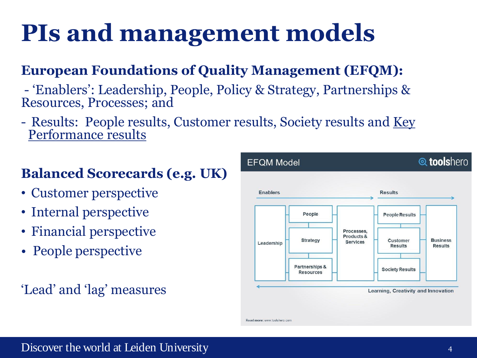# **PIs and management models**

### **European Foundations of Quality Management (EFQM):**

- 'Enablers': Leadership, People, Policy & Strategy, Partnerships & Resources, Processes; and
- Results: People results, Customer results, Society results and Key Performance results

### **Balanced Scorecards (e.g. UK)**

- Customer perspective
- Internal perspective
- Financial perspective
- People perspective

### 'Lead' and 'lag' measures

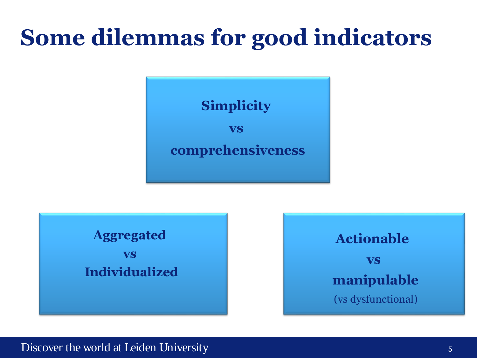## **Some dilemmas for good indicators**



| <b>Aggregated</b>     |
|-----------------------|
| <b>VS</b>             |
| <b>Individualized</b> |
|                       |
|                       |



#### Discover the world at Leiden University 5 and 5 and 5 and 5 and 5 and 5 and 5 and 5 and 5 and 5 and 5 and 5 and 5 and 5 and 5 and 5 and 5 and 5 and 5 and 5 and 5 and 5 and 5 and 5 and 5 and 5 and 5 and 5 and 5 and 5 and 5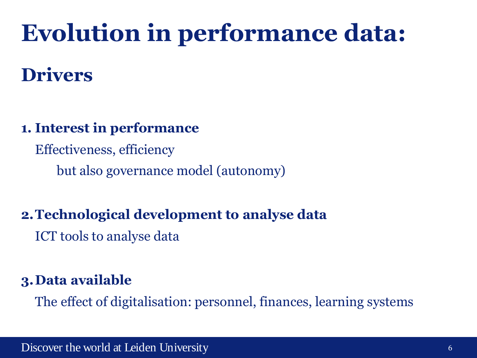# **Evolution in performance data:**

## **Drivers**

#### **1. Interest in performance**

Effectiveness, efficiency

but also governance model (autonomy)

#### **2.Technological development to analyse data**

ICT tools to analyse data

### **3.Data available**

The effect of digitalisation: personnel, finances, learning systems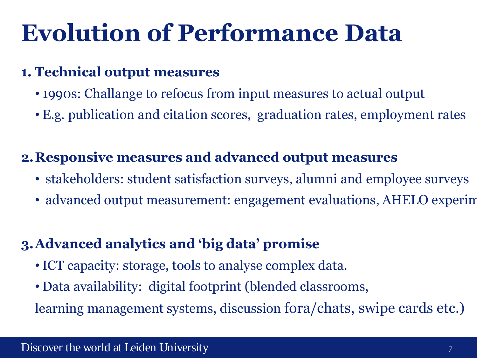# **Evolution of Performance Data**

#### **1. Technical output measures**

- 1990s: Challange to refocus from input measures to actual output
- E.g. publication and citation scores, graduation rates, employment rates

### **2.Responsive measures and advanced output measures**

- stakeholders: student satisfaction surveys, alumni and employee surveys
- advanced output measurement: engagement evaluations, AHELO experiments

#### **3.Advanced analytics and 'big data' promise**

- •ICT capacity: storage, tools to analyse complex data.
- Data availability: digital footprint (blended classrooms,

learning management systems, discussion fora/chats, swipe cards etc.)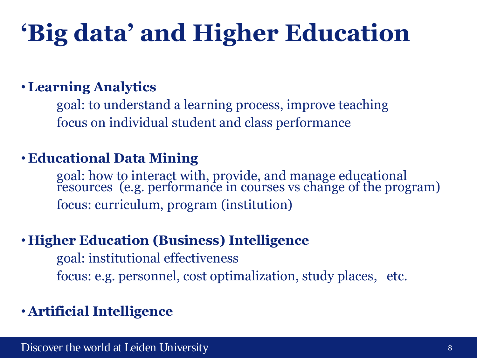# **'Big data' and Higher Education**

#### • **Learning Analytics**

goal: to understand a learning process, improve teaching focus on individual student and class performance

#### • **Educational Data Mining**

goal: how to interact with, provide, and manage educational resources (e.g. performance in courses vs change of the program) focus: curriculum, program (institution)

#### • **Higher Education (Business) Intelligence**

goal: institutional effectiveness focus: e.g. personnel, cost optimalization, study places, etc.

#### • **Artificial Intelligence**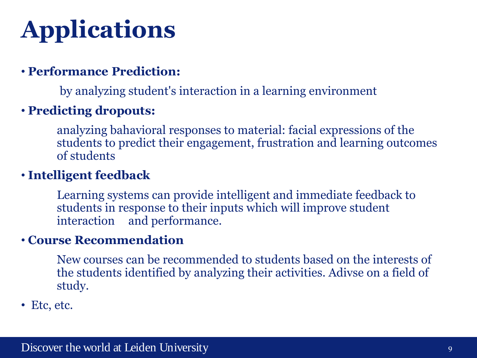# **Applications**

#### • **Performance Prediction:**

by analyzing student's interaction in a learning environment

#### • **Predicting dropouts:**

analyzing bahavioral responses to material: facial expressions of the students to predict their engagement, frustration and learning outcomes of students

#### • **Intelligent feedback**

Learning systems can provide intelligent and immediate feedback to students in response to their inputs which will improve student interaction and performance.

#### • **Course Recommendation**

New courses can be recommended to students based on the interests of the students identified by analyzing their activities. Adivse on a field of study.

• Etc, etc.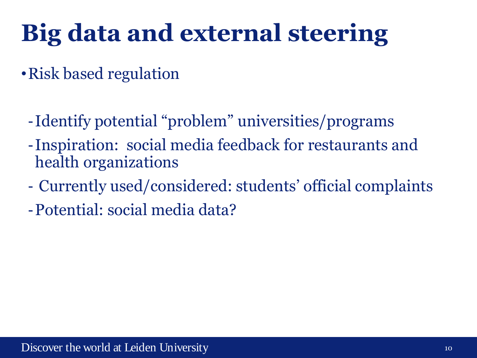# **Big data and external steering**

- •Risk based regulation
	- -Identify potential "problem" universities/programs
	- -Inspiration: social media feedback for restaurants and health organizations
	- Currently used/considered: students' official complaints
	- -Potential: social media data?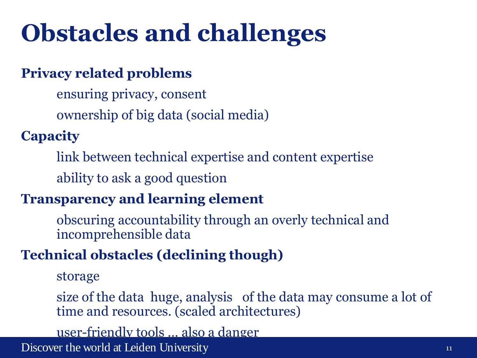# **Obstacles and challenges**

#### **Privacy related problems**

ensuring privacy, consent ownership of big data (social media)

### **Capacity**

link between technical expertise and content expertise

ability to ask a good question

#### **Transparency and learning element**

obscuring accountability through an overly technical and incomprehensible data

#### **Technical obstacles (declining though)**

storage

size of the data huge, analysis of the data may consume a lot of time and resources. (scaled architectures)

user-friendly tools … also a danger

Discover the world at Leiden University 11 and 12 and 12 and 12 and 12 and 12 and 12 and 12 and 12 and 12 and 11